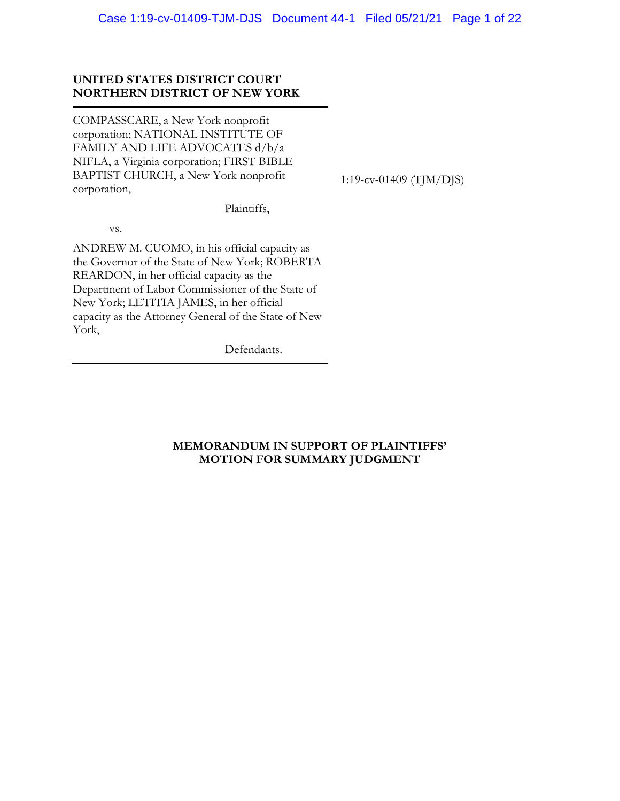# **UNITED STATES DISTRICT COURT NORTHERN DISTRICT OF NEW YORK**

COMPASSCARE, a New York nonprofit corporation; NATIONAL INSTITUTE OF FAMILY AND LIFE ADVOCATES d/b/a NIFLA, a Virginia corporation; FIRST BIBLE BAPTIST CHURCH, a New York nonprofit corporation,

1:19-cv-01409 (TJM/DJS)

Plaintiffs,

vs.

ANDREW M. CUOMO, in his official capacity as the Governor of the State of New York; ROBERTA REARDON, in her official capacity as the Department of Labor Commissioner of the State of New York; LETITIA JAMES, in her official capacity as the Attorney General of the State of New York,

Defendants.

# **MEMORANDUM IN SUPPORT OF PLAINTIFFS' MOTION FOR SUMMARY JUDGMENT**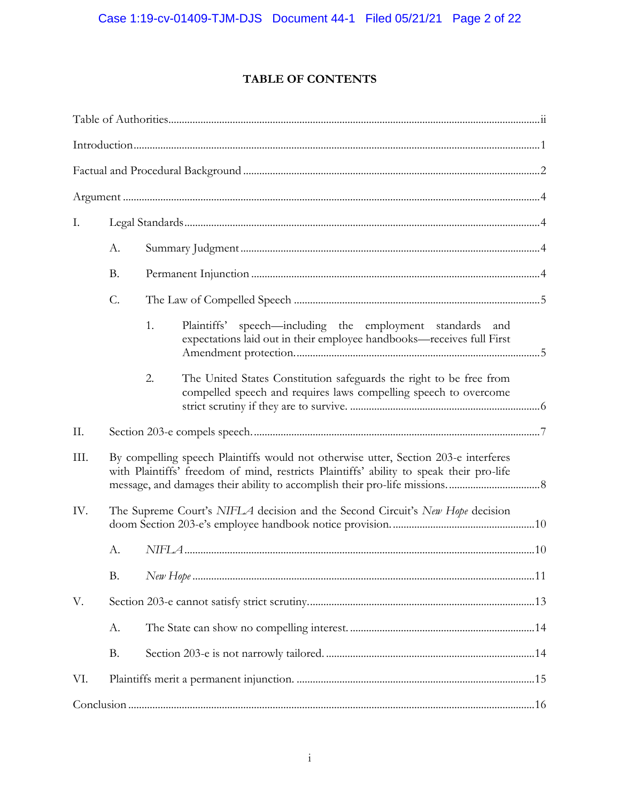# **TABLE OF CONTENTS**

| Ι.   |                                                                               |                                                                                                                                                                                |                                                                                                                                         |  |  |  |
|------|-------------------------------------------------------------------------------|--------------------------------------------------------------------------------------------------------------------------------------------------------------------------------|-----------------------------------------------------------------------------------------------------------------------------------------|--|--|--|
|      | A.                                                                            |                                                                                                                                                                                |                                                                                                                                         |  |  |  |
|      | <b>B.</b>                                                                     |                                                                                                                                                                                |                                                                                                                                         |  |  |  |
|      | C.                                                                            |                                                                                                                                                                                |                                                                                                                                         |  |  |  |
|      |                                                                               | 1.                                                                                                                                                                             | Plaintiffs'<br>speech-including the employment standards and<br>expectations laid out in their employee handbooks-receives full First   |  |  |  |
|      |                                                                               | 2.                                                                                                                                                                             | The United States Constitution safeguards the right to be free from<br>compelled speech and requires laws compelling speech to overcome |  |  |  |
| II.  |                                                                               |                                                                                                                                                                                |                                                                                                                                         |  |  |  |
| III. |                                                                               | By compelling speech Plaintiffs would not otherwise utter, Section 203-e interferes<br>with Plaintiffs' freedom of mind, restricts Plaintiffs' ability to speak their pro-life |                                                                                                                                         |  |  |  |
| IV.  | The Supreme Court's NIFLA decision and the Second Circuit's New Hope decision |                                                                                                                                                                                |                                                                                                                                         |  |  |  |
|      | А.                                                                            |                                                                                                                                                                                |                                                                                                                                         |  |  |  |
|      | <b>B.</b>                                                                     |                                                                                                                                                                                |                                                                                                                                         |  |  |  |
| V.   |                                                                               |                                                                                                                                                                                |                                                                                                                                         |  |  |  |
|      | A.                                                                            |                                                                                                                                                                                |                                                                                                                                         |  |  |  |
|      | <b>B.</b>                                                                     |                                                                                                                                                                                |                                                                                                                                         |  |  |  |
| VI.  |                                                                               |                                                                                                                                                                                |                                                                                                                                         |  |  |  |
|      |                                                                               |                                                                                                                                                                                |                                                                                                                                         |  |  |  |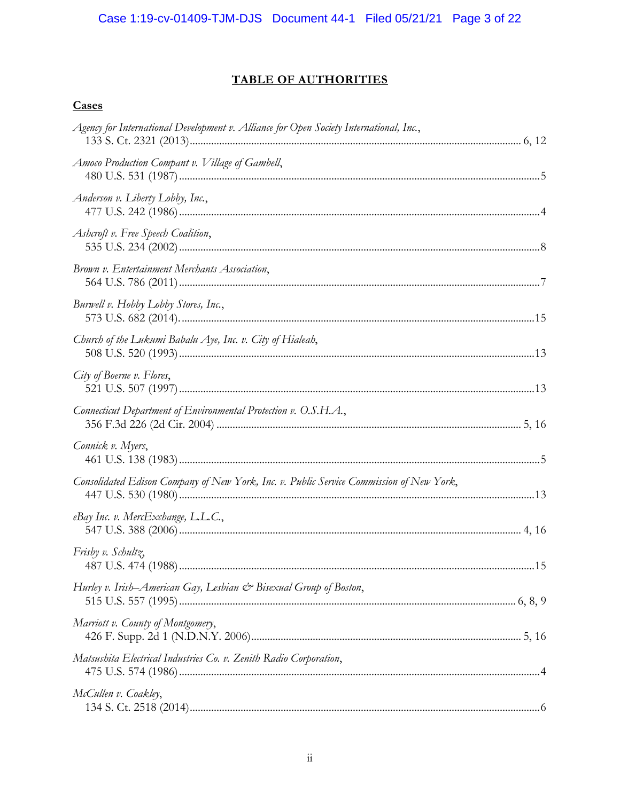# **TABLE OF AUTHORITIES**

# Cases

| Agency for International Development v. Alliance for Open Society International, Inc.,  |  |
|-----------------------------------------------------------------------------------------|--|
| Amoco Production Compant v. Village of Gambell,                                         |  |
| Anderson v. Liberty Lobby, Inc.,                                                        |  |
| Ashcroft v. Free Speech Coalition,                                                      |  |
| Brown v. Entertainment Merchants Association,                                           |  |
| Burwell v. Hobby Lobby Stores, Inc.,                                                    |  |
| Church of the Lukumi Babalu Aye, Inc. v. City of Hialeah,                               |  |
| City of Boerne v. Flores,                                                               |  |
| Connecticut Department of Environmental Protection v. O.S.H.A.,                         |  |
| Connick v. Myers,                                                                       |  |
| Consolidated Edison Company of New York, Inc. v. Public Service Commission of New York, |  |
| eBay Inc. v. MercExchange, L.L.C.,                                                      |  |
| Frisby v. Schultz,                                                                      |  |
| Hurley v. Irish–American Gay, Lesbian & Bisexual Group of Boston,                       |  |
| Marriott v. County of Montgomery,                                                       |  |
| Matsushita Electrical Industries Co. v. Zenith Radio Corporation,                       |  |
| McCullen v. Coakley,                                                                    |  |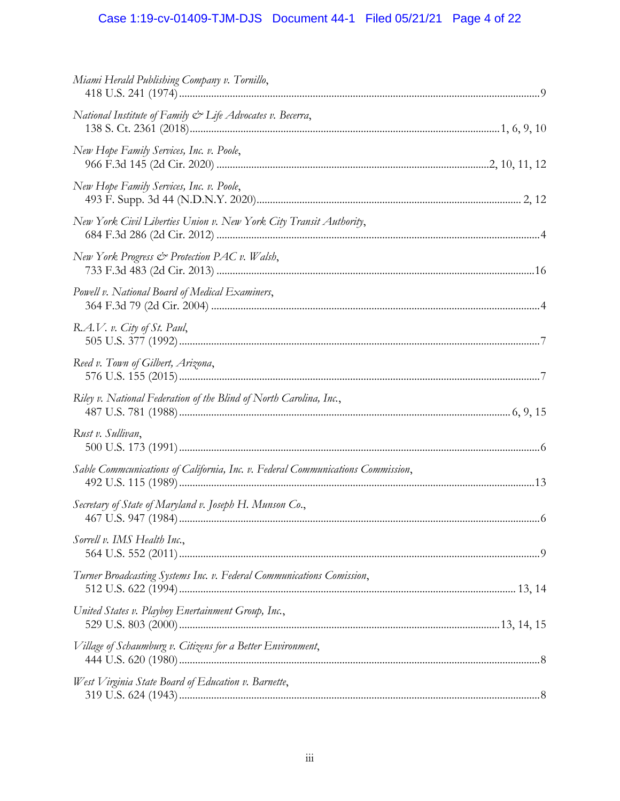# Case 1:19-cv-01409-TJM-DJS Document 44-1 Filed 05/21/21 Page 4 of 22

| Miami Herald Publishing Company v. Tornillo,                                    |  |
|---------------------------------------------------------------------------------|--|
| National Institute of Family $\mathcal{C}^*$ Life Advocates v. Becerra,         |  |
| New Hope Family Services, Inc. v. Poole,                                        |  |
| New Hope Family Services, Inc. v. Poole,                                        |  |
| New York Civil Liberties Union v. New York City Transit Authority,              |  |
| New York Progress & Protection PAC v. Walsh,                                    |  |
| Powell v. National Board of Medical Examiners,                                  |  |
| R.A.V. v. City of St. Paul,                                                     |  |
| Reed v. Town of Gilbert, Arizona,                                               |  |
| Riley v. National Federation of the Blind of North Carolina, Inc.,              |  |
| Rust v. Sullivan,                                                               |  |
| Sable Commcunications of California, Inc. v. Federal Communications Commission, |  |
| Secretary of State of Maryland v. Joseph H. Munson Co.,                         |  |
| Sorrell v. IMS Health Inc.,                                                     |  |
| Turner Broadcasting Systems Inc. v. Federal Communications Comission,           |  |
| United States v. Playboy Enertainment Group, Inc.,                              |  |
| Village of Schaumburg v. Citizens for a Better Environment,                     |  |
| West Virginia State Board of Education v. Barnette,                             |  |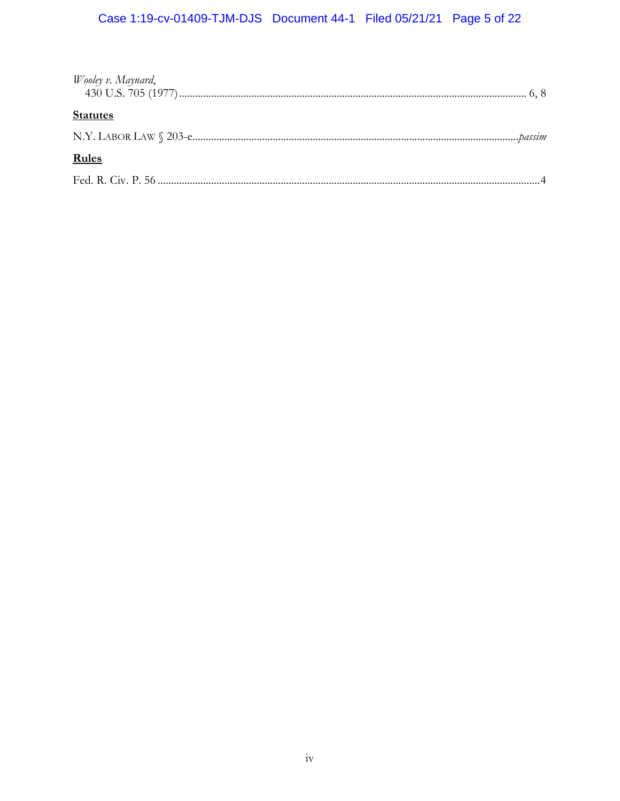# Case 1:19-cv-01409-TJM-DJS Document 44-1 Filed 05/21/21 Page 5 of 22

| Wooley v. Maynard, |  |
|--------------------|--|
| <b>Statutes</b>    |  |
|                    |  |
| <b>Rules</b>       |  |
|                    |  |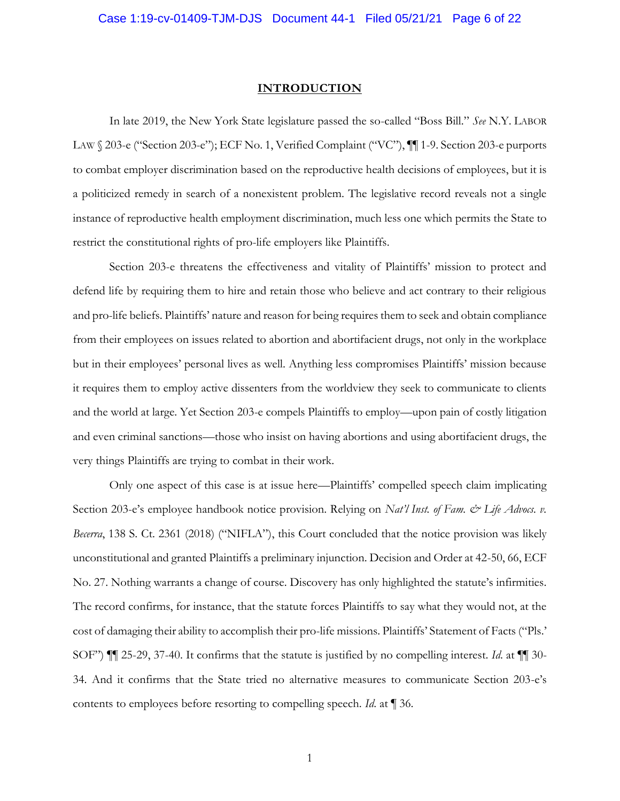## **INTRODUCTION**

<span id="page-5-0"></span>In late 2019, the New York State legislature passed the so-called "Boss Bill." *See* N.Y. LABOR LAW § 203-e ("Section 203-e"); ECF No. 1, Verified Complaint ("VC"),  $\P$ [1-9. Section 203-e purports to combat employer discrimination based on the reproductive health decisions of employees, but it is a politicized remedy in search of a nonexistent problem. The legislative record reveals not a single instance of reproductive health employment discrimination, much less one which permits the State to restrict the constitutional rights of pro-life employers like Plaintiffs.

Section 203-e threatens the effectiveness and vitality of Plaintiffs' mission to protect and defend life by requiring them to hire and retain those who believe and act contrary to their religious and pro-life beliefs. Plaintiffs' nature and reason for being requires them to seek and obtain compliance from their employees on issues related to abortion and abortifacient drugs, not only in the workplace but in their employees' personal lives as well. Anything less compromises Plaintiffs' mission because it requires them to employ active dissenters from the worldview they seek to communicate to clients and the world at large. Yet Section 203-e compels Plaintiffs to employ—upon pain of costly litigation and even criminal sanctions—those who insist on having abortions and using abortifacient drugs, the very things Plaintiffs are trying to combat in their work.

Only one aspect of this case is at issue here—Plaintiffs' compelled speech claim implicating Section 203-e's employee handbook notice provision. Relying on *Nat'l Inst. of Fam. & Life Advocs. v. Becerra*, 138 S. Ct. 2361 (2018) ("NIFLA"), this Court concluded that the notice provision was likely unconstitutional and granted Plaintiffs a preliminary injunction. Decision and Order at 42-50, 66, ECF No. 27. Nothing warrants a change of course. Discovery has only highlighted the statute's infirmities. The record confirms, for instance, that the statute forces Plaintiffs to say what they would not, at the cost of damaging their ability to accomplish their pro-life missions. Plaintiffs' Statement of Facts ("Pls.' SOF") ¶¶ 25-29, 37-40. It confirms that the statute is justified by no compelling interest. *Id*. at ¶¶ 30- 34. And it confirms that the State tried no alternative measures to communicate Section 203-e's contents to employees before resorting to compelling speech. *Id*. at ¶ 36.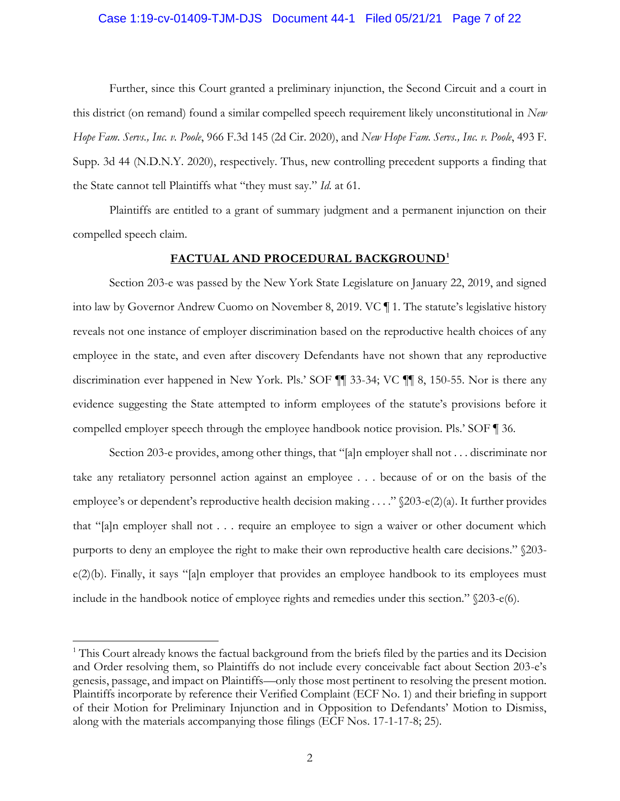#### Case 1:19-cv-01409-TJM-DJS Document 44-1 Filed 05/21/21 Page 7 of 22

Further, since this Court granted a preliminary injunction, the Second Circuit and a court in this district (on remand) found a similar compelled speech requirement likely unconstitutional in *New Hope Fam. Servs., Inc. v. Poole*, 966 F.3d 145 (2d Cir. 2020), and *New Hope Fam. Servs., Inc. v. Poole*, 493 F. Supp. 3d 44 (N.D.N.Y. 2020), respectively. Thus, new controlling precedent supports a finding that the State cannot tell Plaintiffs what "they must say." *Id.* at 61.

Plaintiffs are entitled to a grant of summary judgment and a permanent injunction on their compelled speech claim.

#### **FACTUAL AND PROCEDURAL BACKGROUND<sup>1</sup>**

<span id="page-6-0"></span>Section 203-e was passed by the New York State Legislature on January 22, 2019, and signed into law by Governor Andrew Cuomo on November 8, 2019. VC ¶ 1. The statute's legislative history reveals not one instance of employer discrimination based on the reproductive health choices of any employee in the state, and even after discovery Defendants have not shown that any reproductive discrimination ever happened in New York. Pls.' SOF ¶¶ 33-34; VC ¶¶ 8, 150-55. Nor is there any evidence suggesting the State attempted to inform employees of the statute's provisions before it compelled employer speech through the employee handbook notice provision. Pls.' SOF ¶ 36.

Section 203-e provides, among other things, that "[a]n employer shall not . . . discriminate nor take any retaliatory personnel action against an employee . . . because of or on the basis of the employee's or dependent's reproductive health decision making . . . ." §203-e(2)(a). It further provides that "[a]n employer shall not . . . require an employee to sign a waiver or other document which purports to deny an employee the right to make their own reproductive health care decisions." §203 e(2)(b). Finally, it says "[a]n employer that provides an employee handbook to its employees must include in the handbook notice of employee rights and remedies under this section." §203-e(6).

<sup>&</sup>lt;sup>1</sup> This Court already knows the factual background from the briefs filed by the parties and its Decision and Order resolving them, so Plaintiffs do not include every conceivable fact about Section 203-e's genesis, passage, and impact on Plaintiffs—only those most pertinent to resolving the present motion. Plaintiffs incorporate by reference their Verified Complaint (ECF No. 1) and their briefing in support of their Motion for Preliminary Injunction and in Opposition to Defendants' Motion to Dismiss, along with the materials accompanying those filings (ECF Nos. 17-1-17-8; 25).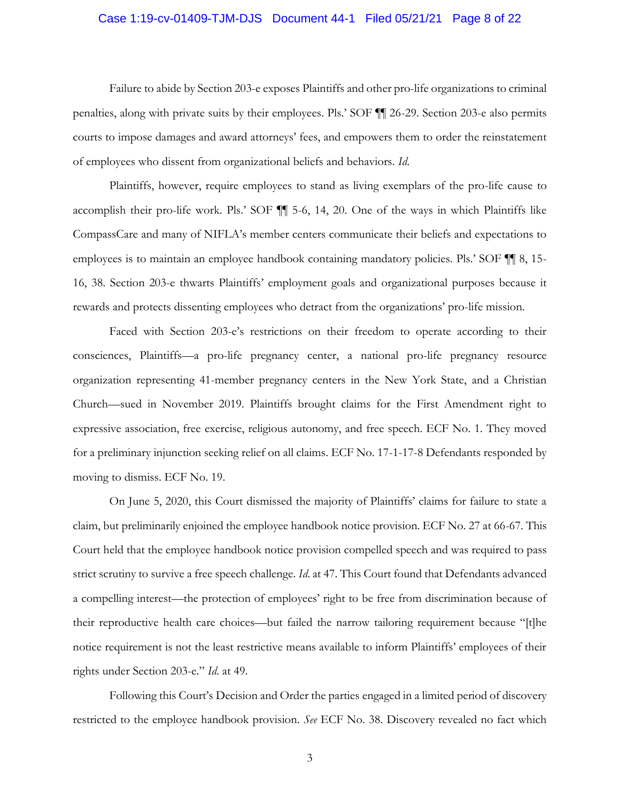#### Case 1:19-cv-01409-TJM-DJS Document 44-1 Filed 05/21/21 Page 8 of 22

Failure to abide by Section 203-e exposes Plaintiffs and other pro-life organizations to criminal penalties, along with private suits by their employees. Pls.' SOF ¶¶ 26-29. Section 203-e also permits courts to impose damages and award attorneys' fees, and empowers them to order the reinstatement of employees who dissent from organizational beliefs and behaviors. *Id*.

Plaintiffs, however, require employees to stand as living exemplars of the pro-life cause to accomplish their pro-life work. Pls.' SOF ¶¶ 5-6, 14, 20. One of the ways in which Plaintiffs like CompassCare and many of NIFLA's member centers communicate their beliefs and expectations to employees is to maintain an employee handbook containing mandatory policies. Pls.' SOF ¶¶ 8, 15- 16, 38. Section 203-e thwarts Plaintiffs' employment goals and organizational purposes because it rewards and protects dissenting employees who detract from the organizations' pro-life mission.

Faced with Section 203-e's restrictions on their freedom to operate according to their consciences, Plaintiffs—a pro-life pregnancy center, a national pro-life pregnancy resource organization representing 41-member pregnancy centers in the New York State, and a Christian Church—sued in November 2019. Plaintiffs brought claims for the First Amendment right to expressive association, free exercise, religious autonomy, and free speech. ECF No. 1. They moved for a preliminary injunction seeking relief on all claims. ECF No. 17-1-17-8 Defendants responded by moving to dismiss. ECF No. 19.

On June 5, 2020, this Court dismissed the majority of Plaintiffs' claims for failure to state a claim, but preliminarily enjoined the employee handbook notice provision. ECF No. 27 at 66-67. This Court held that the employee handbook notice provision compelled speech and was required to pass strict scrutiny to survive a free speech challenge. *Id*. at 47. This Court found that Defendants advanced a compelling interest—the protection of employees' right to be free from discrimination because of their reproductive health care choices—but failed the narrow tailoring requirement because "[t]he notice requirement is not the least restrictive means available to inform Plaintiffs' employees of their rights under Section 203-e." *Id*. at 49.

Following this Court's Decision and Order the parties engaged in a limited period of discovery restricted to the employee handbook provision. *See* ECF No. 38. Discovery revealed no fact which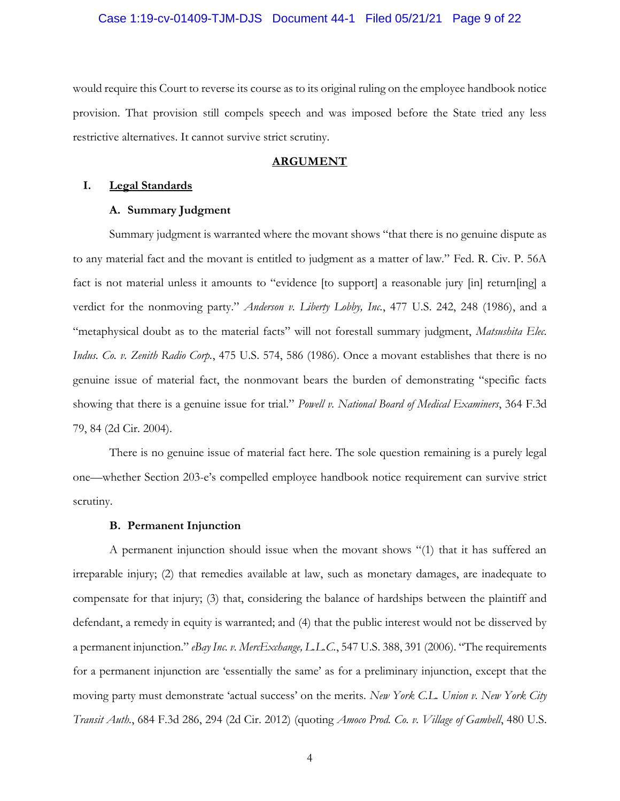#### Case 1:19-cv-01409-TJM-DJS Document 44-1 Filed 05/21/21 Page 9 of 22

would require this Court to reverse its course as to its original ruling on the employee handbook notice provision. That provision still compels speech and was imposed before the State tried any less restrictive alternatives. It cannot survive strict scrutiny.

#### **ARGUMENT**

# <span id="page-8-2"></span><span id="page-8-1"></span><span id="page-8-0"></span>**I. Legal Standards**

#### **A. Summary Judgment**

Summary judgment is warranted where the movant shows "that there is no genuine dispute as to any material fact and the movant is entitled to judgment as a matter of law." Fed. R. Civ. P. 56A fact is not material unless it amounts to "evidence [to support] a reasonable jury [in] return[ing] a verdict for the nonmoving party." *Anderson v. Liberty Lobby, Inc.*, 477 U.S. 242, 248 (1986), and a "metaphysical doubt as to the material facts" will not forestall summary judgment, *Matsushita Elec. Indus. Co. v. Zenith Radio Corp.*, 475 U.S. 574, 586 (1986). Once a movant establishes that there is no genuine issue of material fact, the nonmovant bears the burden of demonstrating "specific facts showing that there is a genuine issue for trial." *Powell v. National Board of Medical Examiners*, 364 F.3d 79, 84 (2d Cir. 2004).

There is no genuine issue of material fact here. The sole question remaining is a purely legal one—whether Section 203-e's compelled employee handbook notice requirement can survive strict scrutiny.

### **B. Permanent Injunction**

<span id="page-8-3"></span>A permanent injunction should issue when the movant shows "(1) that it has suffered an irreparable injury; (2) that remedies available at law, such as monetary damages, are inadequate to compensate for that injury; (3) that, considering the balance of hardships between the plaintiff and defendant, a remedy in equity is warranted; and (4) that the public interest would not be disserved by a permanent injunction." *eBay Inc. v. MercExchange, L.L.C.*, 547 U.S. 388, 391 (2006). "The requirements for a permanent injunction are 'essentially the same' as for a preliminary injunction, except that the moving party must demonstrate 'actual success' on the merits. *New York C.L. Union v. New York City Transit Auth.*, 684 F.3d 286, 294 (2d Cir. 2012) (quoting *Amoco Prod. Co. v. Village of Gambell*, 480 U.S.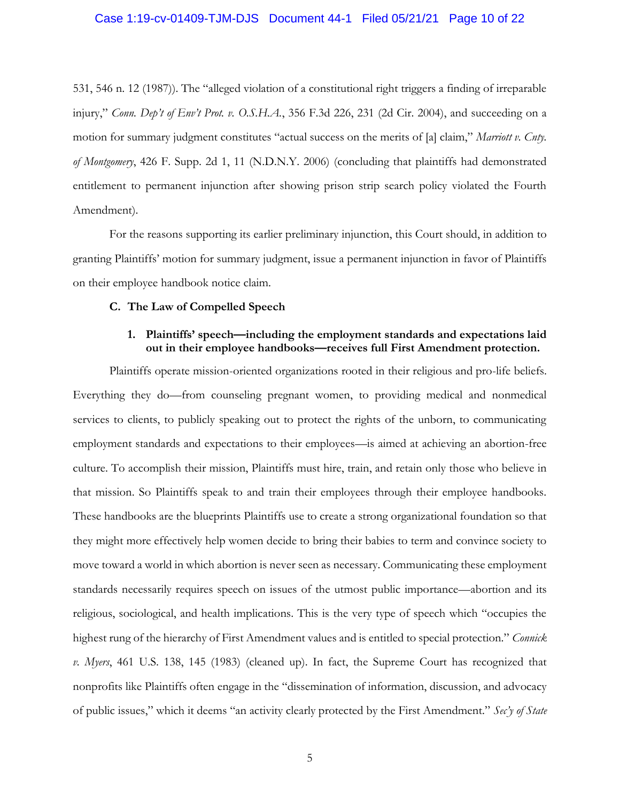#### Case 1:19-cv-01409-TJM-DJS Document 44-1 Filed 05/21/21 Page 10 of 22

531, 546 n. 12 (1987)). The "alleged violation of a constitutional right triggers a finding of irreparable injury," *Conn. Dep't of Env't Prot. v. O.S.H.A.*, 356 F.3d 226, 231 (2d Cir. 2004), and succeeding on a motion for summary judgment constitutes "actual success on the merits of [a] claim," *Marriott v. Cnty. of Montgomery*, 426 F. Supp. 2d 1, 11 (N.D.N.Y. 2006) (concluding that plaintiffs had demonstrated entitlement to permanent injunction after showing prison strip search policy violated the Fourth Amendment).

For the reasons supporting its earlier preliminary injunction, this Court should, in addition to granting Plaintiffs' motion for summary judgment, issue a permanent injunction in favor of Plaintiffs on their employee handbook notice claim.

#### <span id="page-9-0"></span>**C. The Law of Compelled Speech**

# **1. Plaintiffs' speech—including the employment standards and expectations laid out in their employee handbooks—receives full First Amendment protection.**

<span id="page-9-1"></span>Plaintiffs operate mission-oriented organizations rooted in their religious and pro-life beliefs. Everything they do—from counseling pregnant women, to providing medical and nonmedical services to clients, to publicly speaking out to protect the rights of the unborn, to communicating employment standards and expectations to their employees—is aimed at achieving an abortion-free culture. To accomplish their mission, Plaintiffs must hire, train, and retain only those who believe in that mission. So Plaintiffs speak to and train their employees through their employee handbooks. These handbooks are the blueprints Plaintiffs use to create a strong organizational foundation so that they might more effectively help women decide to bring their babies to term and convince society to move toward a world in which abortion is never seen as necessary. Communicating these employment standards necessarily requires speech on issues of the utmost public importance—abortion and its religious, sociological, and health implications. This is the very type of speech which "occupies the highest rung of the hierarchy of First Amendment values and is entitled to special protection." *Connick v. Myers*, 461 U.S. 138, 145 (1983) (cleaned up). In fact, the Supreme Court has recognized that nonprofits like Plaintiffs often engage in the "dissemination of information, discussion, and advocacy of public issues," which it deems "an activity clearly protected by the First Amendment." *Sec'y of State*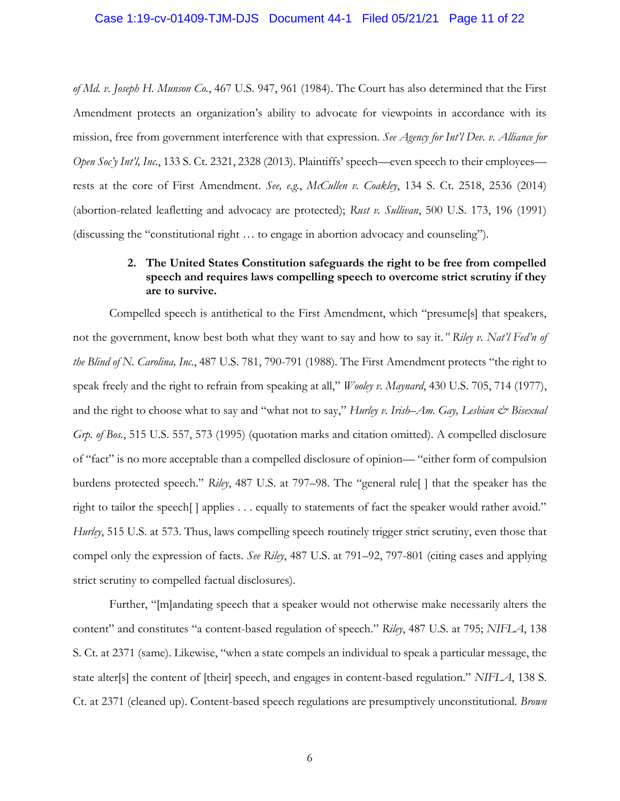#### Case 1:19-cv-01409-TJM-DJS Document 44-1 Filed 05/21/21 Page 11 of 22

*of Md. v. Joseph H. Munson Co.*, 467 U.S. 947, 961 (1984). The Court has also determined that the First Amendment protects an organization's ability to advocate for viewpoints in accordance with its mission, free from government interference with that expression. *See Agency for Int'l Dev. v. Alliance for Open Soc'y Int'l, Inc.*, 133 S. Ct. 2321, 2328 (2013). Plaintiffs' speech—even speech to their employees rests at the core of First Amendment. *See, e.g.*, *McCullen v. Coakley*, 134 S. Ct. 2518, 2536 (2014) (abortion-related leafletting and advocacy are protected); *Rust v. Sullivan*, 500 U.S. 173, 196 (1991) (discussing the "constitutional right … to engage in abortion advocacy and counseling").

# **2. The United States Constitution safeguards the right to be free from compelled speech and requires laws compelling speech to overcome strict scrutiny if they are to survive.**

<span id="page-10-0"></span>Compelled speech is antithetical to the First Amendment, which "presume[s] that speakers, not the government, know best both what they want to say and how to say it*." Riley v. Nat'l Fed'n of the Blind of N. Carolina, Inc.*, 487 U.S. 781, 790-791 (1988). The First Amendment protects "the right to speak freely and the right to refrain from speaking at all," *Wooley v. Maynard*, 430 U.S. 705, 714 (1977), and the right to choose what to say and "what not to say," *Hurley v. Irish–Am. Gay, Lesbian & Bisexual Grp. of Bos.*, 515 U.S. 557, 573 (1995) (quotation marks and citation omitted). A compelled disclosure of "fact" is no more acceptable than a compelled disclosure of opinion— "either form of compulsion burdens protected speech." *Riley*, 487 U.S. at 797–98. The "general rule[ ] that the speaker has the right to tailor the speech[ ] applies . . . equally to statements of fact the speaker would rather avoid." *Hurley*, 515 U.S. at 573. Thus, laws compelling speech routinely trigger strict scrutiny, even those that compel only the expression of facts. *See Riley*, 487 U.S. at 791–92, 797-801 (citing cases and applying strict scrutiny to compelled factual disclosures).

Further, "[m]andating speech that a speaker would not otherwise make necessarily alters the content" and constitutes "a content-based regulation of speech." *Riley*, 487 U.S. at 795; *NIFLA*, 138 S. Ct. at 2371 (same). Likewise, "when a state compels an individual to speak a particular message, the state alter[s] the content of [their] speech, and engages in content-based regulation." *NIFLA*, 138 S. Ct. at 2371 (cleaned up). Content-based speech regulations are presumptively unconstitutional. *Brown*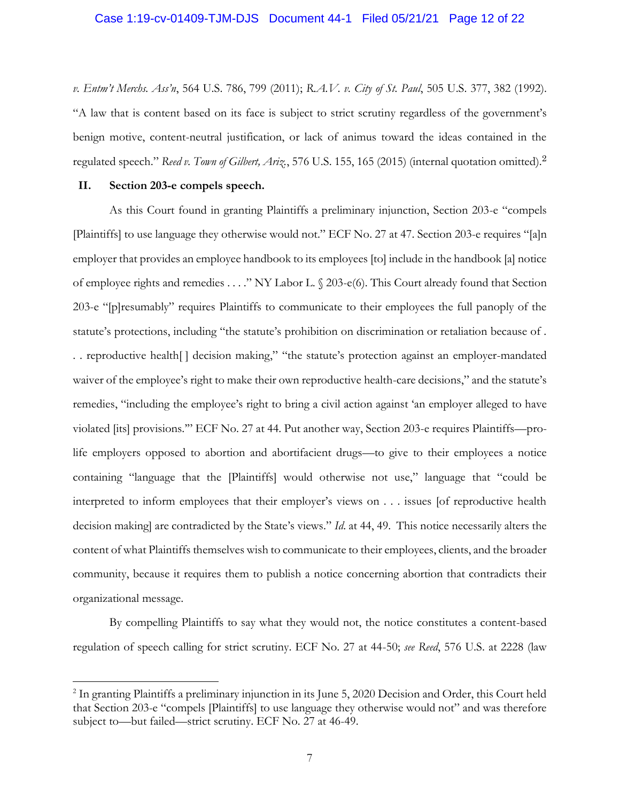#### Case 1:19-cv-01409-TJM-DJS Document 44-1 Filed 05/21/21 Page 12 of 22

*v. Entm't Merchs. Ass'n*, 564 U.S. 786, 799 (2011); *R.A.V. v. City of St. Paul*, 505 U.S. 377, 382 (1992). "A law that is content based on its face is subject to strict scrutiny regardless of the government's benign motive, content-neutral justification, or lack of animus toward the ideas contained in the regulated speech." *Reed v. Town of Gilbert, Ariz.*, 576 U.S. 155, 165 (2015) (internal quotation omitted).<sup>2</sup>

#### <span id="page-11-0"></span>**II. Section 203-e compels speech.**

As this Court found in granting Plaintiffs a preliminary injunction, Section 203-e "compels [Plaintiffs] to use language they otherwise would not." ECF No. 27 at 47. Section 203-e requires "[a]n employer that provides an employee handbook to its employees [to] include in the handbook [a] notice of employee rights and remedies . . . ." NY Labor L. § 203-e(6). This Court already found that Section 203-e "[p]resumably" requires Plaintiffs to communicate to their employees the full panoply of the statute's protections, including "the statute's prohibition on discrimination or retaliation because of . . . reproductive health[ ] decision making," "the statute's protection against an employer-mandated waiver of the employee's right to make their own reproductive health-care decisions," and the statute's remedies, "including the employee's right to bring a civil action against 'an employer alleged to have violated [its] provisions.'" ECF No. 27 at 44. Put another way, Section 203-e requires Plaintiffs—prolife employers opposed to abortion and abortifacient drugs—to give to their employees a notice containing "language that the [Plaintiffs] would otherwise not use," language that "could be interpreted to inform employees that their employer's views on . . . issues [of reproductive health decision making] are contradicted by the State's views." *Id*. at 44, 49. This notice necessarily alters the content of what Plaintiffs themselves wish to communicate to their employees, clients, and the broader community, because it requires them to publish a notice concerning abortion that contradicts their organizational message.

By compelling Plaintiffs to say what they would not, the notice constitutes a content-based regulation of speech calling for strict scrutiny. ECF No. 27 at 44-50; *see Reed*, 576 U.S. at 2228 (law

<sup>&</sup>lt;sup>2</sup> In granting Plaintiffs a preliminary injunction in its June 5, 2020 Decision and Order, this Court held that Section 203-e "compels [Plaintiffs] to use language they otherwise would not" and was therefore subject to—but failed—strict scrutiny. ECF No. 27 at 46-49.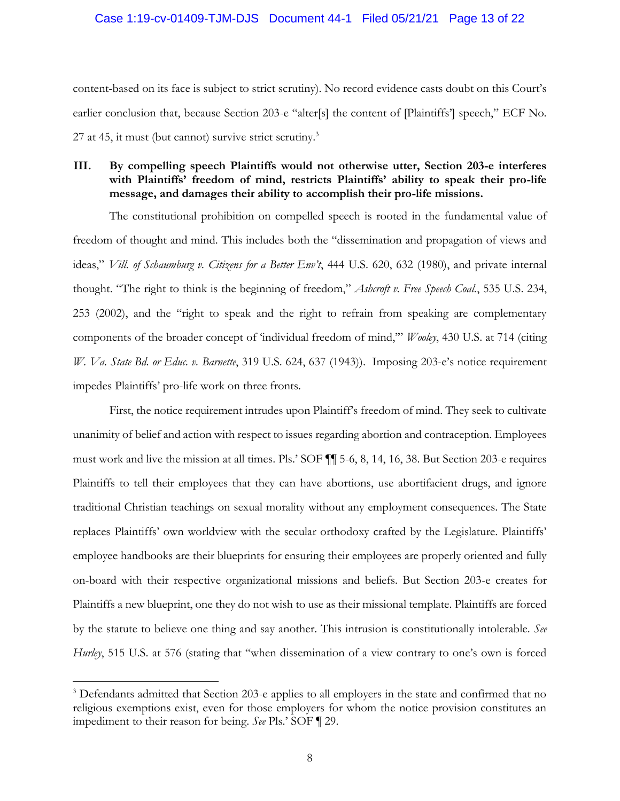#### Case 1:19-cv-01409-TJM-DJS Document 44-1 Filed 05/21/21 Page 13 of 22

content-based on its face is subject to strict scrutiny). No record evidence casts doubt on this Court's earlier conclusion that, because Section 203-e "alter[s] the content of [Plaintiffs'] speech," ECF No. 27 at 45, it must (but cannot) survive strict scrutiny. $3$ 

# <span id="page-12-0"></span>**III. By compelling speech Plaintiffs would not otherwise utter, Section 203-e interferes with Plaintiffs' freedom of mind, restricts Plaintiffs' ability to speak their pro-life message, and damages their ability to accomplish their pro-life missions.**

The constitutional prohibition on compelled speech is rooted in the fundamental value of freedom of thought and mind. This includes both the "dissemination and propagation of views and ideas," *Vill. of Schaumburg v. Citizens for a Better Env't*, 444 U.S. 620, 632 (1980), and private internal thought. "The right to think is the beginning of freedom," *Ashcroft v. Free Speech Coal.*, 535 U.S. 234, 253 (2002), and the "right to speak and the right to refrain from speaking are complementary components of the broader concept of 'individual freedom of mind,'" *Wooley*, 430 U.S. at 714 (citing *W. Va. State Bd. or Educ. v. Barnette*, 319 U.S. 624, 637 (1943)). Imposing 203-e's notice requirement impedes Plaintiffs' pro-life work on three fronts.

First, the notice requirement intrudes upon Plaintiff's freedom of mind. They seek to cultivate unanimity of belief and action with respect to issues regarding abortion and contraception. Employees must work and live the mission at all times. Pls.' SOF ¶¶ 5-6, 8, 14, 16, 38. But Section 203-e requires Plaintiffs to tell their employees that they can have abortions, use abortifacient drugs, and ignore traditional Christian teachings on sexual morality without any employment consequences. The State replaces Plaintiffs' own worldview with the secular orthodoxy crafted by the Legislature. Plaintiffs' employee handbooks are their blueprints for ensuring their employees are properly oriented and fully on-board with their respective organizational missions and beliefs. But Section 203-e creates for Plaintiffs a new blueprint, one they do not wish to use as their missional template. Plaintiffs are forced by the statute to believe one thing and say another. This intrusion is constitutionally intolerable. *See Hurley*, 515 U.S. at 576 (stating that "when dissemination of a view contrary to one's own is forced

<sup>&</sup>lt;sup>3</sup> Defendants admitted that Section 203-e applies to all employers in the state and confirmed that no religious exemptions exist, even for those employers for whom the notice provision constitutes an impediment to their reason for being. *See* Pls.' SOF ¶ 29.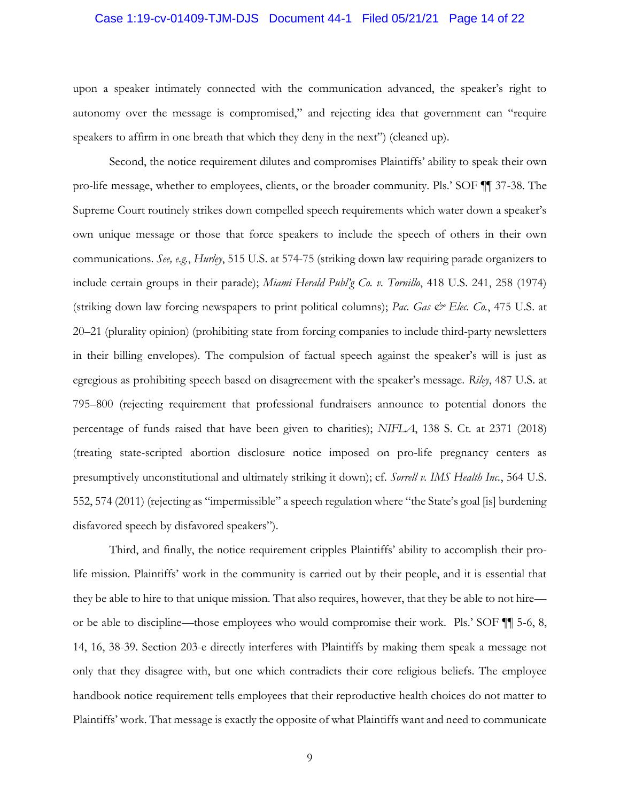#### Case 1:19-cv-01409-TJM-DJS Document 44-1 Filed 05/21/21 Page 14 of 22

upon a speaker intimately connected with the communication advanced, the speaker's right to autonomy over the message is compromised," and rejecting idea that government can "require speakers to affirm in one breath that which they deny in the next") (cleaned up).

Second, the notice requirement dilutes and compromises Plaintiffs' ability to speak their own pro-life message, whether to employees, clients, or the broader community. Pls.' SOF ¶¶ 37-38. The Supreme Court routinely strikes down compelled speech requirements which water down a speaker's own unique message or those that force speakers to include the speech of others in their own communications. *See, e.g.*, *Hurley*, 515 U.S. at 574-75 (striking down law requiring parade organizers to include certain groups in their parade); *Miami Herald Publ'g Co. v. Tornillo*, 418 U.S. 241, 258 (1974) (striking down law forcing newspapers to print political columns); *Pac. Gas & Elec. Co.*, 475 U.S. at 20–21 (plurality opinion) (prohibiting state from forcing companies to include third-party newsletters in their billing envelopes). The compulsion of factual speech against the speaker's will is just as egregious as prohibiting speech based on disagreement with the speaker's message. *Riley*, 487 U.S. at 795–800 (rejecting requirement that professional fundraisers announce to potential donors the percentage of funds raised that have been given to charities); *NIFLA*, 138 S. Ct. at 2371 (2018) (treating state-scripted abortion disclosure notice imposed on pro-life pregnancy centers as presumptively unconstitutional and ultimately striking it down); cf. *Sorrell v. IMS Health Inc.*, 564 U.S. 552, 574 (2011) (rejecting as "impermissible" a speech regulation where "the State's goal [is] burdening disfavored speech by disfavored speakers").

Third, and finally, the notice requirement cripples Plaintiffs' ability to accomplish their prolife mission. Plaintiffs' work in the community is carried out by their people, and it is essential that they be able to hire to that unique mission. That also requires, however, that they be able to not hire or be able to discipline—those employees who would compromise their work. Pls.' SOF ¶¶ 5-6, 8, 14, 16, 38-39. Section 203-e directly interferes with Plaintiffs by making them speak a message not only that they disagree with, but one which contradicts their core religious beliefs. The employee handbook notice requirement tells employees that their reproductive health choices do not matter to Plaintiffs' work. That message is exactly the opposite of what Plaintiffs want and need to communicate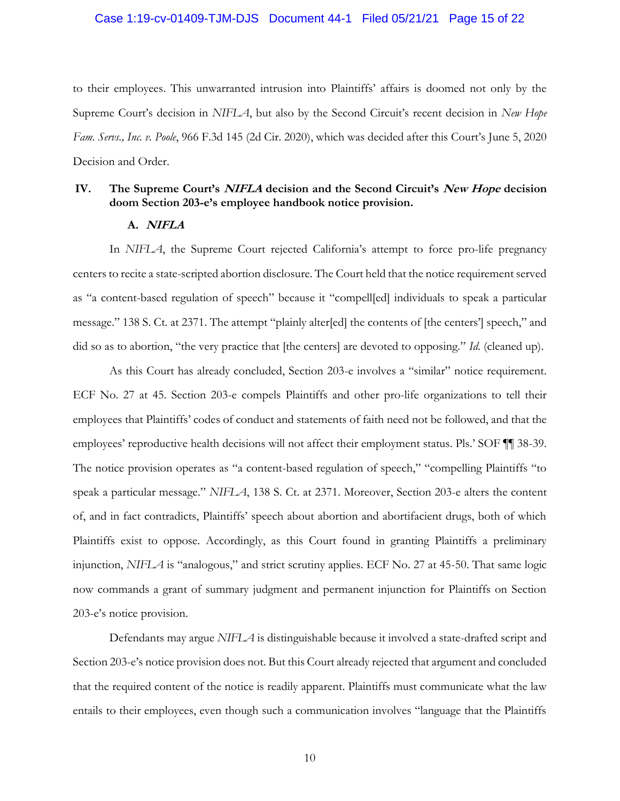#### Case 1:19-cv-01409-TJM-DJS Document 44-1 Filed 05/21/21 Page 15 of 22

to their employees. This unwarranted intrusion into Plaintiffs' affairs is doomed not only by the Supreme Court's decision in *NIFLA*, but also by the Second Circuit's recent decision in *New Hope Fam. Servs., Inc. v. Poole*, 966 F.3d 145 (2d Cir. 2020), which was decided after this Court's June 5, 2020 Decision and Order.

# <span id="page-14-1"></span><span id="page-14-0"></span>**IV. The Supreme Court's NIFLA decision and the Second Circuit's New Hope decision doom Section 203-e's employee handbook notice provision.**

#### **A. NIFLA**

In *NIFLA*, the Supreme Court rejected California's attempt to force pro-life pregnancy centers to recite a state-scripted abortion disclosure. The Court held that the notice requirement served as "a content-based regulation of speech" because it "compell[ed] individuals to speak a particular message." 138 S. Ct. at 2371. The attempt "plainly alter[ed] the contents of [the centers'] speech," and did so as to abortion, "the very practice that [the centers] are devoted to opposing." *Id.* (cleaned up).

As this Court has already concluded, Section 203-e involves a "similar" notice requirement. ECF No. 27 at 45. Section 203-e compels Plaintiffs and other pro-life organizations to tell their employees that Plaintiffs' codes of conduct and statements of faith need not be followed, and that the employees' reproductive health decisions will not affect their employment status. Pls.' SOF ¶¶ 38-39. The notice provision operates as "a content-based regulation of speech," "compelling Plaintiffs "to speak a particular message." *NIFLA*, 138 S. Ct. at 2371. Moreover, Section 203-e alters the content of, and in fact contradicts, Plaintiffs' speech about abortion and abortifacient drugs, both of which Plaintiffs exist to oppose. Accordingly, as this Court found in granting Plaintiffs a preliminary injunction, *NIFLA* is "analogous," and strict scrutiny applies. ECF No. 27 at 45-50. That same logic now commands a grant of summary judgment and permanent injunction for Plaintiffs on Section 203-e's notice provision.

Defendants may argue *NIFLA* is distinguishable because it involved a state-drafted script and Section 203-e's notice provision does not. But this Court already rejected that argument and concluded that the required content of the notice is readily apparent. Plaintiffs must communicate what the law entails to their employees, even though such a communication involves "language that the Plaintiffs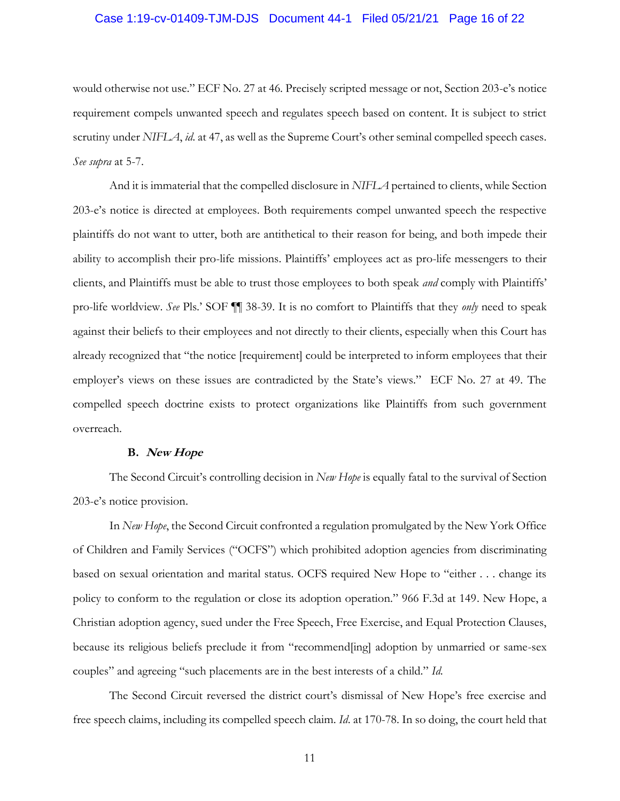#### Case 1:19-cv-01409-TJM-DJS Document 44-1 Filed 05/21/21 Page 16 of 22

would otherwise not use." ECF No. 27 at 46. Precisely scripted message or not, Section 203-e's notice requirement compels unwanted speech and regulates speech based on content. It is subject to strict scrutiny under *NIFLA*, *id*. at 47, as well as the Supreme Court's other seminal compelled speech cases. *See supra* at 5-7.

And it is immaterial that the compelled disclosure in *NIFLA* pertained to clients, while Section 203-e's notice is directed at employees. Both requirements compel unwanted speech the respective plaintiffs do not want to utter, both are antithetical to their reason for being, and both impede their ability to accomplish their pro-life missions. Plaintiffs' employees act as pro-life messengers to their clients, and Plaintiffs must be able to trust those employees to both speak *and* comply with Plaintiffs' pro-life worldview. *See* Pls.' SOF ¶¶ 38-39. It is no comfort to Plaintiffs that they *only* need to speak against their beliefs to their employees and not directly to their clients, especially when this Court has already recognized that "the notice [requirement] could be interpreted to inform employees that their employer's views on these issues are contradicted by the State's views." ECF No. 27 at 49. The compelled speech doctrine exists to protect organizations like Plaintiffs from such government overreach.

#### **B. New Hope**

<span id="page-15-0"></span>The Second Circuit's controlling decision in *New Hope* is equally fatal to the survival of Section 203-e's notice provision.

In *New Hope*, the Second Circuit confronted a regulation promulgated by the New York Office of Children and Family Services ("OCFS") which prohibited adoption agencies from discriminating based on sexual orientation and marital status. OCFS required New Hope to "either . . . change its policy to conform to the regulation or close its adoption operation." 966 F.3d at 149. New Hope, a Christian adoption agency, sued under the Free Speech, Free Exercise, and Equal Protection Clauses, because its religious beliefs preclude it from "recommend[ing] adoption by unmarried or same-sex couples" and agreeing "such placements are in the best interests of a child." *Id*.

The Second Circuit reversed the district court's dismissal of New Hope's free exercise and free speech claims, including its compelled speech claim. *Id*. at 170-78. In so doing, the court held that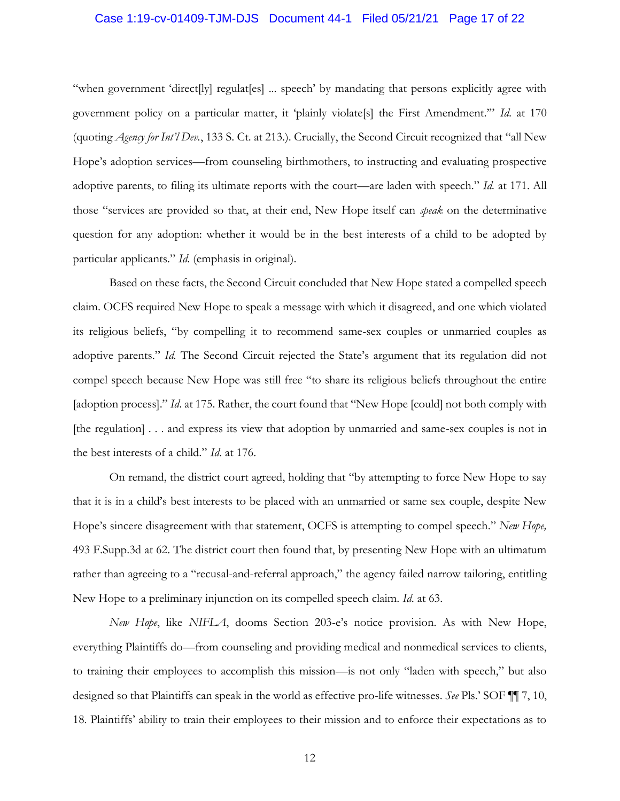#### Case 1:19-cv-01409-TJM-DJS Document 44-1 Filed 05/21/21 Page 17 of 22

"when government 'direct[ly] regulat[es] ... speech' by mandating that persons explicitly agree with government policy on a particular matter, it 'plainly violate[s] the First Amendment.'" *Id*. at 170 (quoting *Agency for Int'l Dev.*, 133 S. Ct. at 213.). Crucially, the Second Circuit recognized that "all New Hope's adoption services—from counseling birthmothers, to instructing and evaluating prospective adoptive parents, to filing its ultimate reports with the court—are laden with speech." *Id.* at 171. All those "services are provided so that, at their end, New Hope itself can *speak* on the determinative question for any adoption: whether it would be in the best interests of a child to be adopted by particular applicants." *Id*. (emphasis in original).

Based on these facts, the Second Circuit concluded that New Hope stated a compelled speech claim. OCFS required New Hope to speak a message with which it disagreed, and one which violated its religious beliefs, "by compelling it to recommend same-sex couples or unmarried couples as adoptive parents." *Id.* The Second Circuit rejected the State's argument that its regulation did not compel speech because New Hope was still free "to share its religious beliefs throughout the entire [adoption process]." *Id*. at 175. Rather, the court found that "New Hope [could] not both comply with [the regulation] . . . and express its view that adoption by unmarried and same-sex couples is not in the best interests of a child." *Id*. at 176.

On remand, the district court agreed, holding that "by attempting to force New Hope to say that it is in a child's best interests to be placed with an unmarried or same sex couple, despite New Hope's sincere disagreement with that statement, OCFS is attempting to compel speech." *New Hope,*  493 F.Supp.3d at 62. The district court then found that, by presenting New Hope with an ultimatum rather than agreeing to a "recusal-and-referral approach," the agency failed narrow tailoring, entitling New Hope to a preliminary injunction on its compelled speech claim. *Id*. at 63.

*New Hope*, like *NIFLA*, dooms Section 203-e's notice provision. As with New Hope, everything Plaintiffs do—from counseling and providing medical and nonmedical services to clients, to training their employees to accomplish this mission—is not only "laden with speech," but also designed so that Plaintiffs can speak in the world as effective pro-life witnesses. *See* Pls.' SOF ¶¶ 7, 10, 18. Plaintiffs' ability to train their employees to their mission and to enforce their expectations as to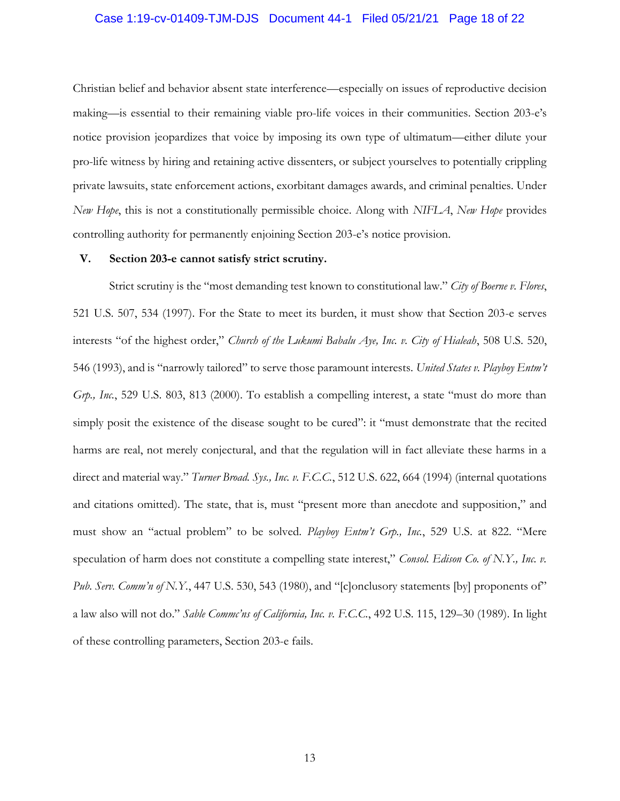#### Case 1:19-cv-01409-TJM-DJS Document 44-1 Filed 05/21/21 Page 18 of 22

Christian belief and behavior absent state interference—especially on issues of reproductive decision making—is essential to their remaining viable pro-life voices in their communities. Section 203-e's notice provision jeopardizes that voice by imposing its own type of ultimatum—either dilute your pro-life witness by hiring and retaining active dissenters, or subject yourselves to potentially crippling private lawsuits, state enforcement actions, exorbitant damages awards, and criminal penalties. Under *New Hope*, this is not a constitutionally permissible choice. Along with *NIFLA*, *New Hope* provides controlling authority for permanently enjoining Section 203-e's notice provision.

#### <span id="page-17-0"></span>**V. Section 203-e cannot satisfy strict scrutiny.**

Strict scrutiny is the "most demanding test known to constitutional law." *City of Boerne v. Flores*, 521 U.S. 507, 534 (1997). For the State to meet its burden, it must show that Section 203-e serves interests "of the highest order," *Church of the Lukumi Babalu Aye, Inc. v. City of Hialeah*, 508 U.S. 520, 546 (1993), and is "narrowly tailored" to serve those paramount interests. *United States v. Playboy Entm't Grp., Inc.*, 529 U.S. 803, 813 (2000). To establish a compelling interest, a state "must do more than simply posit the existence of the disease sought to be cured": it "must demonstrate that the recited harms are real, not merely conjectural, and that the regulation will in fact alleviate these harms in a direct and material way." *Turner Broad. Sys., Inc. v. F.C.C.*, 512 U.S. 622, 664 (1994) (internal quotations and citations omitted). The state, that is, must "present more than anecdote and supposition," and must show an "actual problem" to be solved. *Playboy Entm't Grp., Inc.*, 529 U.S. at 822. "Mere speculation of harm does not constitute a compelling state interest," *Consol. Edison Co. of N.Y., Inc. v. Pub. Serv. Comm'n of N.Y.*, 447 U.S. 530, 543 (1980), and "[c]onclusory statements [by] proponents of" a law also will not do." *Sable Commc'ns of California, Inc. v. F.C.C.*, 492 U.S. 115, 129–30 (1989). In light of these controlling parameters, Section 203-e fails.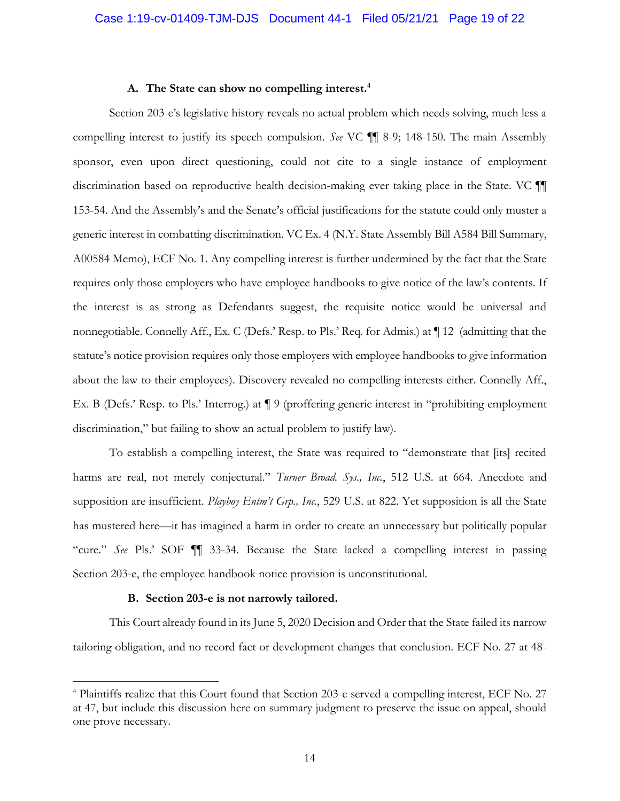#### **A. The State can show no compelling interest.<sup>4</sup>**

<span id="page-18-0"></span>Section 203-e's legislative history reveals no actual problem which needs solving, much less a compelling interest to justify its speech compulsion. *See* VC ¶¶ 8-9; 148-150. The main Assembly sponsor, even upon direct questioning, could not cite to a single instance of employment discrimination based on reproductive health decision-making ever taking place in the State. VC ¶¶ 153-54. And the Assembly's and the Senate's official justifications for the statute could only muster a generic interest in combatting discrimination. VC Ex. 4 (N.Y. State Assembly Bill A584 Bill Summary, A00584 Memo), ECF No. 1. Any compelling interest is further undermined by the fact that the State requires only those employers who have employee handbooks to give notice of the law's contents. If the interest is as strong as Defendants suggest, the requisite notice would be universal and nonnegotiable. Connelly Aff., Ex. C (Defs.' Resp. to Pls.' Req. for Admis.) at ¶ 12 (admitting that the statute's notice provision requires only those employers with employee handbooks to give information about the law to their employees). Discovery revealed no compelling interests either. Connelly Aff., Ex. B (Defs.' Resp. to Pls.' Interrog.) at ¶ 9 (proffering generic interest in "prohibiting employment discrimination," but failing to show an actual problem to justify law).

To establish a compelling interest, the State was required to "demonstrate that [its] recited harms are real, not merely conjectural." *Turner Broad. Sys., Inc.*, 512 U.S. at 664. Anecdote and supposition are insufficient. *Playboy Entm't Grp., Inc.*, 529 U.S. at 822. Yet supposition is all the State has mustered here—it has imagined a harm in order to create an unnecessary but politically popular "cure." *See* Pls.' SOF ¶¶ 33-34. Because the State lacked a compelling interest in passing Section 203-e, the employee handbook notice provision is unconstitutional.

#### **B. Section 203-e is not narrowly tailored.**

<span id="page-18-1"></span>This Court already found in its June 5, 2020 Decision and Order that the State failed its narrow tailoring obligation, and no record fact or development changes that conclusion. ECF No. 27 at 48-

<sup>&</sup>lt;sup>4</sup> Plaintiffs realize that this Court found that Section 203-e served a compelling interest, ECF No. 27 at 47, but include this discussion here on summary judgment to preserve the issue on appeal, should one prove necessary.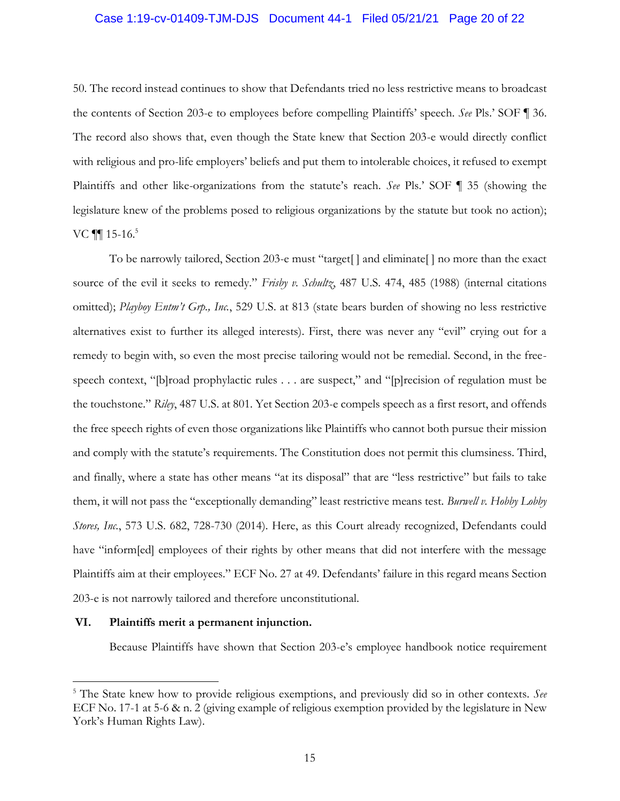#### Case 1:19-cv-01409-TJM-DJS Document 44-1 Filed 05/21/21 Page 20 of 22

50. The record instead continues to show that Defendants tried no less restrictive means to broadcast the contents of Section 203-e to employees before compelling Plaintiffs' speech. *See* Pls.' SOF ¶ 36. The record also shows that, even though the State knew that Section 203-e would directly conflict with religious and pro-life employers' beliefs and put them to intolerable choices, it refused to exempt Plaintiffs and other like-organizations from the statute's reach. *See* Pls.' SOF ¶ 35 (showing the legislature knew of the problems posed to religious organizations by the statute but took no action); VC  $\P\P$  15-16.<sup>5</sup>

To be narrowly tailored, Section 203-e must "target[ ] and eliminate[ ] no more than the exact source of the evil it seeks to remedy." *Frisby v. Schultz*, 487 U.S. 474, 485 (1988) (internal citations omitted); *Playboy Entm't Grp., Inc.*, 529 U.S. at 813 (state bears burden of showing no less restrictive alternatives exist to further its alleged interests). First, there was never any "evil" crying out for a remedy to begin with, so even the most precise tailoring would not be remedial. Second, in the freespeech context, "[b]road prophylactic rules . . . are suspect," and "[p]recision of regulation must be the touchstone." *Riley*, 487 U.S. at 801. Yet Section 203-e compels speech as a first resort, and offends the free speech rights of even those organizations like Plaintiffs who cannot both pursue their mission and comply with the statute's requirements. The Constitution does not permit this clumsiness. Third, and finally, where a state has other means "at its disposal" that are "less restrictive" but fails to take them, it will not pass the "exceptionally demanding" least restrictive means test. *Burwell v. Hobby Lobby Stores, Inc.*, 573 U.S. 682, 728-730 (2014). Here, as this Court already recognized, Defendants could have "inform[ed] employees of their rights by other means that did not interfere with the message Plaintiffs aim at their employees." ECF No. 27 at 49. Defendants' failure in this regard means Section 203-e is not narrowly tailored and therefore unconstitutional.

#### <span id="page-19-0"></span>**VI. Plaintiffs merit a permanent injunction.**

Because Plaintiffs have shown that Section 203-e's employee handbook notice requirement

<sup>5</sup> The State knew how to provide religious exemptions, and previously did so in other contexts. *See* ECF No. 17-1 at 5-6 & n. 2 (giving example of religious exemption provided by the legislature in New York's Human Rights Law).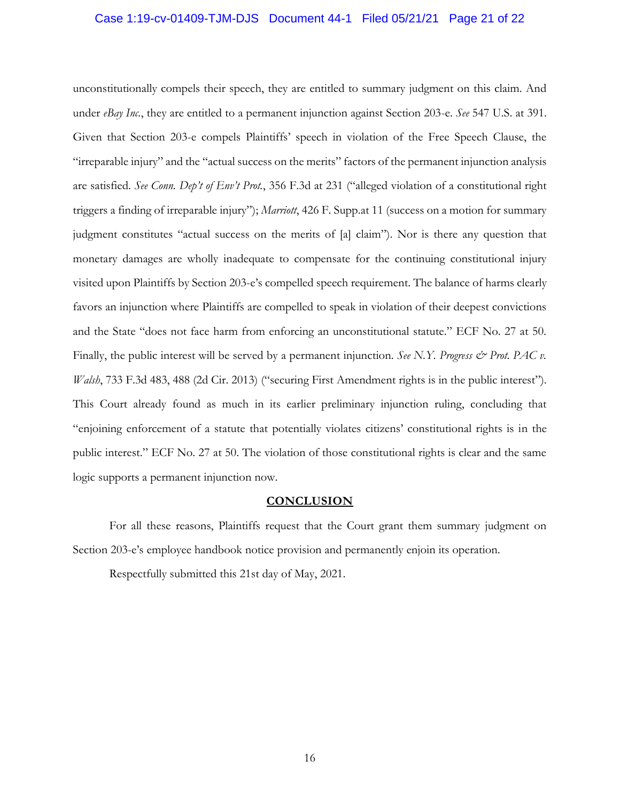#### Case 1:19-cv-01409-TJM-DJS Document 44-1 Filed 05/21/21 Page 21 of 22

unconstitutionally compels their speech, they are entitled to summary judgment on this claim. And under *eBay Inc.*, they are entitled to a permanent injunction against Section 203-e. *See* 547 U.S. at 391. Given that Section 203-e compels Plaintiffs' speech in violation of the Free Speech Clause, the "irreparable injury" and the "actual success on the merits" factors of the permanent injunction analysis are satisfied. *See Conn. Dep't of Env't Prot.*, 356 F.3d at 231 ("alleged violation of a constitutional right triggers a finding of irreparable injury"); *Marriott*, 426 F. Supp.at 11 (success on a motion for summary judgment constitutes "actual success on the merits of [a] claim"). Nor is there any question that monetary damages are wholly inadequate to compensate for the continuing constitutional injury visited upon Plaintiffs by Section 203-e's compelled speech requirement. The balance of harms clearly favors an injunction where Plaintiffs are compelled to speak in violation of their deepest convictions and the State "does not face harm from enforcing an unconstitutional statute." ECF No. 27 at 50. Finally, the public interest will be served by a permanent injunction. *See N.Y. Progress & Prot. PAC v. Walsh*, 733 F.3d 483, 488 (2d Cir. 2013) ("securing First Amendment rights is in the public interest"). This Court already found as much in its earlier preliminary injunction ruling, concluding that "enjoining enforcement of a statute that potentially violates citizens' constitutional rights is in the public interest." ECF No. 27 at 50. The violation of those constitutional rights is clear and the same logic supports a permanent injunction now.

#### **CONCLUSION**

<span id="page-20-0"></span>For all these reasons, Plaintiffs request that the Court grant them summary judgment on Section 203-e's employee handbook notice provision and permanently enjoin its operation.

Respectfully submitted this 21st day of May, 2021.